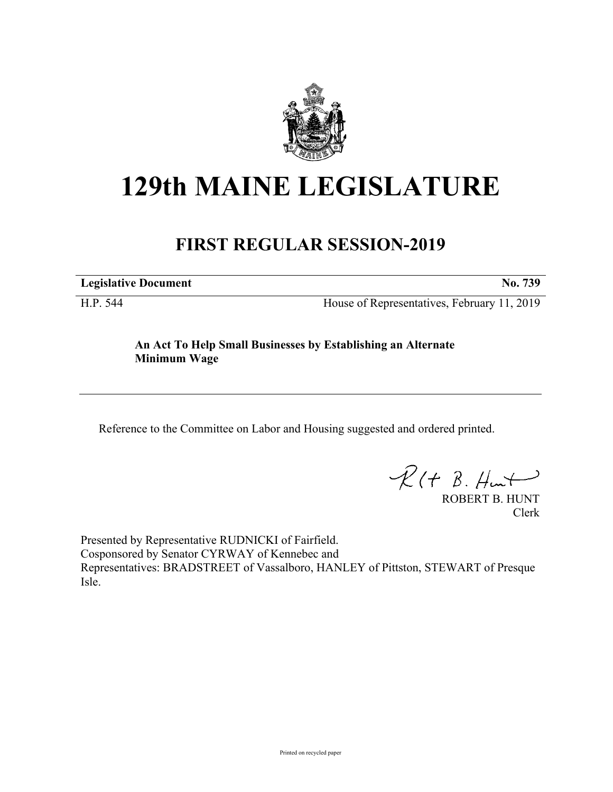

# **129th MAINE LEGISLATURE**

## **FIRST REGULAR SESSION-2019**

**Legislative Document No. 739**

H.P. 544 House of Representatives, February 11, 2019

**An Act To Help Small Businesses by Establishing an Alternate Minimum Wage**

Reference to the Committee on Labor and Housing suggested and ordered printed.

 $R(t B. Hmt)$ 

ROBERT B. HUNT Clerk

Presented by Representative RUDNICKI of Fairfield. Cosponsored by Senator CYRWAY of Kennebec and Representatives: BRADSTREET of Vassalboro, HANLEY of Pittston, STEWART of Presque Isle.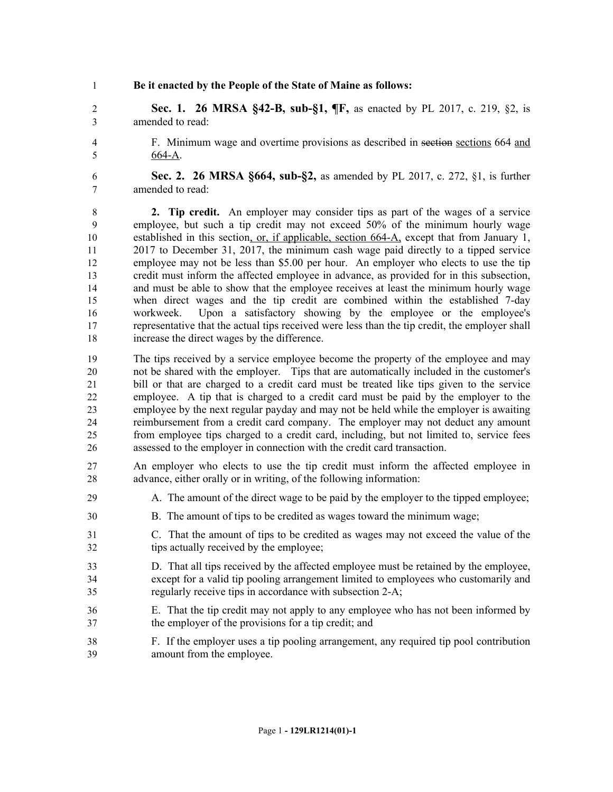**Be it enacted by the People of the State of Maine as follows:**

 **Sec. 1. 26 MRSA §42-B, sub-§1, ¶F,** as enacted by PL 2017, c. 219, §2, is amended to read:

 F. Minimum wage and overtime provisions as described in section sections 664 and 664-A.

 **Sec. 2. 26 MRSA §664, sub-§2,** as amended by PL 2017, c. 272, §1, is further amended to read:

 **2. Tip credit.** An employer may consider tips as part of the wages of a service employee, but such a tip credit may not exceed 50% of the minimum hourly wage established in this section, or, if applicable, section 664-A, except that from January 1, 2017 to December 31, 2017, the minimum cash wage paid directly to a tipped service employee may not be less than \$5.00 per hour. An employer who elects to use the tip credit must inform the affected employee in advance, as provided for in this subsection, and must be able to show that the employee receives at least the minimum hourly wage when direct wages and the tip credit are combined within the established 7-day workweek. Upon a satisfactory showing by the employee or the employee's representative that the actual tips received were less than the tip credit, the employer shall increase the direct wages by the difference.

 The tips received by a service employee become the property of the employee and may not be shared with the employer. Tips that are automatically included in the customer's bill or that are charged to a credit card must be treated like tips given to the service employee. A tip that is charged to a credit card must be paid by the employer to the employee by the next regular payday and may not be held while the employer is awaiting reimbursement from a credit card company. The employer may not deduct any amount from employee tips charged to a credit card, including, but not limited to, service fees assessed to the employer in connection with the credit card transaction.

 An employer who elects to use the tip credit must inform the affected employee in advance, either orally or in writing, of the following information:

- A. The amount of the direct wage to be paid by the employer to the tipped employee;
- B. The amount of tips to be credited as wages toward the minimum wage;
- C. That the amount of tips to be credited as wages may not exceed the value of the tips actually received by the employee;
- D. That all tips received by the affected employee must be retained by the employee, except for a valid tip pooling arrangement limited to employees who customarily and regularly receive tips in accordance with subsection 2-A;
- E. That the tip credit may not apply to any employee who has not been informed by the employer of the provisions for a tip credit; and
- F. If the employer uses a tip pooling arrangement, any required tip pool contribution amount from the employee.